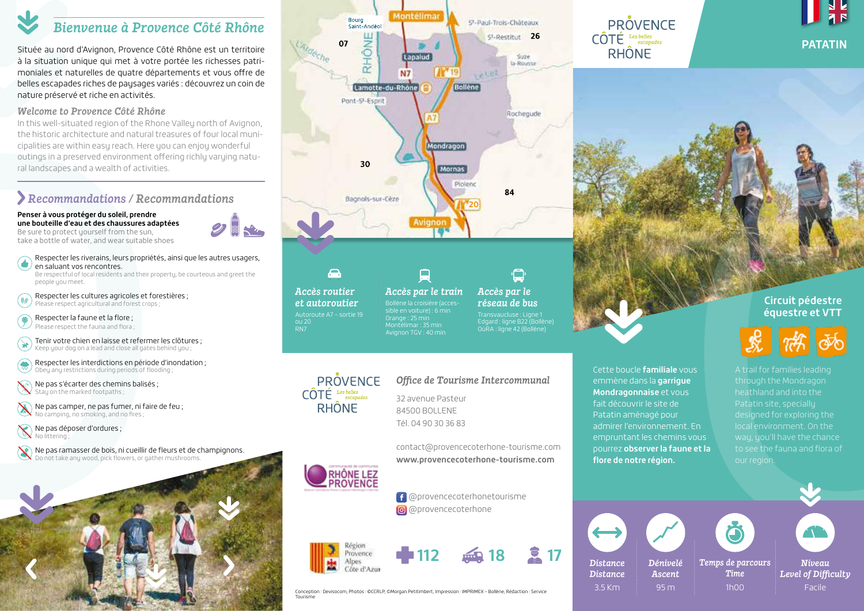# *Bienvenue à Provence Côté Rhône*

Située au nord d'Avignon, Provence Côté Rhône est un territoire à la situation unique qui met à votre portée les richesses patrimoniales et naturelles de quatre départements et vous offre de belles escapades riches de paysages variés : découvrez un coin de nature préservé et riche en activités.

## *Welcome to Provence Côté Rhône*

In this well-situated region of the Rhone Valley north of Avignon, the historic architecture and natural treasures of four local municipalities are within easy reach. Here you can enjoy wonderful outings in a preserved environment offering richly varying natural landscapes and a wealth of activities.

# *Recommandations / Recommandations*

#### **Penser à vous protéger du soleil, prendre une bouteille d'eau et des chaussures adaptées** Be sure to protect yourself from the sun.

take a bottle of water, and wear suitable shoes

- Respecter les riverains, leurs propriétés, ainsi que les autres usagers,
- Œ. en saluant vos rencontres. Be respectful of local residents and their property, be courteous and greet the people you meet.
- Respecter les cultures agricoles et forestières ; (U Please respect agricultural and forest crops ;

 Respecter la faune et la flore ; 学 Please respect the fauna and flora ;

 Tenir votre chien en laisse et refermer les clôtures ;  $(\divideontimes)$ Keep your dog on a lead and close all gates behind you ;

 $\bigcirc$ Respecter les interdictions en période d'inondation ; Obey any restrictions during periods of flooding ;

 Ne pas s'écarter des chemins balisés ; Stay on the marked footpaths :

 $\chi$  Ne pas camper, ne pas fumer, ni faire de feu ; No camping, no smoking, and no fires ;

Ne pas déposer d'ordures ; No littering ;

 Ne pas ramasser de bois, ni cueillir de fleurs et de champignons. Do not take any wood, pick flowers, or gather mushrooms.







# *Office de Tourisme Intercommunal*

32 avenue Pasteur 84500 BOLLENE Tél. 04 90 30 36 83

contact@provencecoterhone-tourisme.com **www.provencecoterhone-tourisme.com RHÔNE LEZ<br>PROVENCE** 







Conception : Devisocom, Photos : ©CCRLP, ©Morgan.Petitimbert, Impression : IMPRIMEX – Bollène, Rédaction : Service Tourisme

# **PRÔVENCE**  $\widehat{\text{COTE}}$  Les belles **RHÔNE**



## **Circuit pédestre équestre et VTT**

through the Mondragon heathland and into the Patatin site, specially designed for exploring the to see the fauna and flora of



Cette boucle **familiale** vous emmène dans la **garrigue Mondragonnaise** et vous fait découvrir le site de Patatin aménagé pour admirer l'environnement. En empruntant les chemins vous pourrez **observer la faune et la** 

**flore de notre région.**

*Niveau Level of Difficulty* Facile